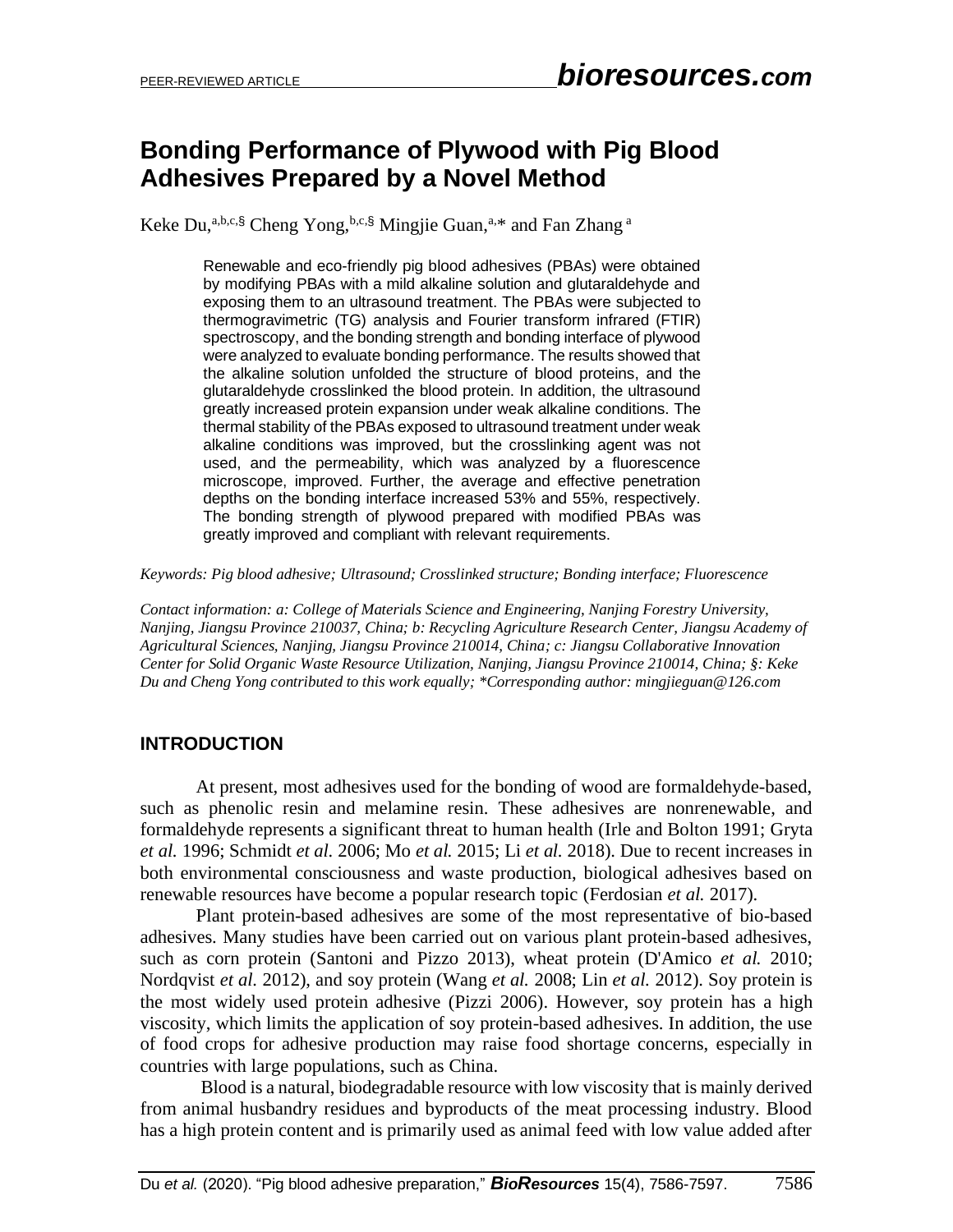# **Bonding Performance of Plywood with Pig Blood Adhesives Prepared by a Novel Method**

Keke Du,<sup>a,b,c,§</sup> Cheng Yong,<sup>b,c,§</sup> Mingjie Guan,<sup>a,\*</sup> and Fan Zhang<sup>a</sup>

Renewable and eco-friendly pig blood adhesives (PBAs) were obtained by modifying PBAs with a mild alkaline solution and glutaraldehyde and exposing them to an ultrasound treatment. The PBAs were subjected to thermogravimetric (TG) analysis and Fourier transform infrared (FTIR) spectroscopy, and the bonding strength and bonding interface of plywood were analyzed to evaluate bonding performance. The results showed that the alkaline solution unfolded the structure of blood proteins, and the glutaraldehyde crosslinked the blood protein. In addition, the ultrasound greatly increased protein expansion under weak alkaline conditions. The thermal stability of the PBAs exposed to ultrasound treatment under weak alkaline conditions was improved, but the crosslinking agent was not used, and the permeability, which was analyzed by a fluorescence microscope, improved. Further, the average and effective penetration depths on the bonding interface increased 53% and 55%, respectively. The bonding strength of plywood prepared with modified PBAs was greatly improved and compliant with relevant requirements.

*Keywords: Pig blood adhesive; Ultrasound; Crosslinked structure; Bonding interface; Fluorescence*

*Contact information: a: College of Materials Science and Engineering, Nanjing Forestry University, Nanjing, Jiangsu Province 210037, China; b: Recycling Agriculture Research Center, Jiangsu Academy of Agricultural Sciences, Nanjing, Jiangsu Province 210014, China; c: Jiangsu Collaborative Innovation Center for Solid Organic Waste Resource Utilization, Nanjing, Jiangsu Province 210014, China; §: Keke Du and Cheng Yong contributed to this work equally; \*Corresponding author: mingjieguan@126.com*

## **INTRODUCTION**

At present, most adhesives used for the bonding of wood are formaldehyde-based, such as phenolic resin and melamine resin. These adhesives are nonrenewable, and formaldehyde represents a significant threat to human health (Irle and Bolton 1991; Gryta *et al.* 1996; Schmidt *et al.* 2006; Mo *et al.* 2015; Li *et al.* 2018). Due to recent increases in both environmental consciousness and waste production, biological adhesives based on renewable resources have become a popular research topic (Ferdosian *et al.* 2017).

Plant protein-based adhesives are some of the most representative of bio-based adhesives. Many studies have been carried out on various plant protein-based adhesives, such as corn protein (Santoni and Pizzo 2013), wheat protein (D'Amico *et al.* 2010; Nordqvist *et al.* 2012), and soy protein (Wang *et al.* 2008; Lin *et al.* 2012). Soy protein is the most widely used protein adhesive (Pizzi 2006). However, soy protein has a high viscosity, which limits the application of soy protein-based adhesives. In addition, the use of food crops for adhesive production may raise food shortage concerns, especially in countries with large populations, such as China.

Blood is a natural, biodegradable resource with low viscosity that is mainly derived from animal husbandry residues and byproducts of the meat processing industry. Blood has a high protein content and is primarily used as animal feed with low value added after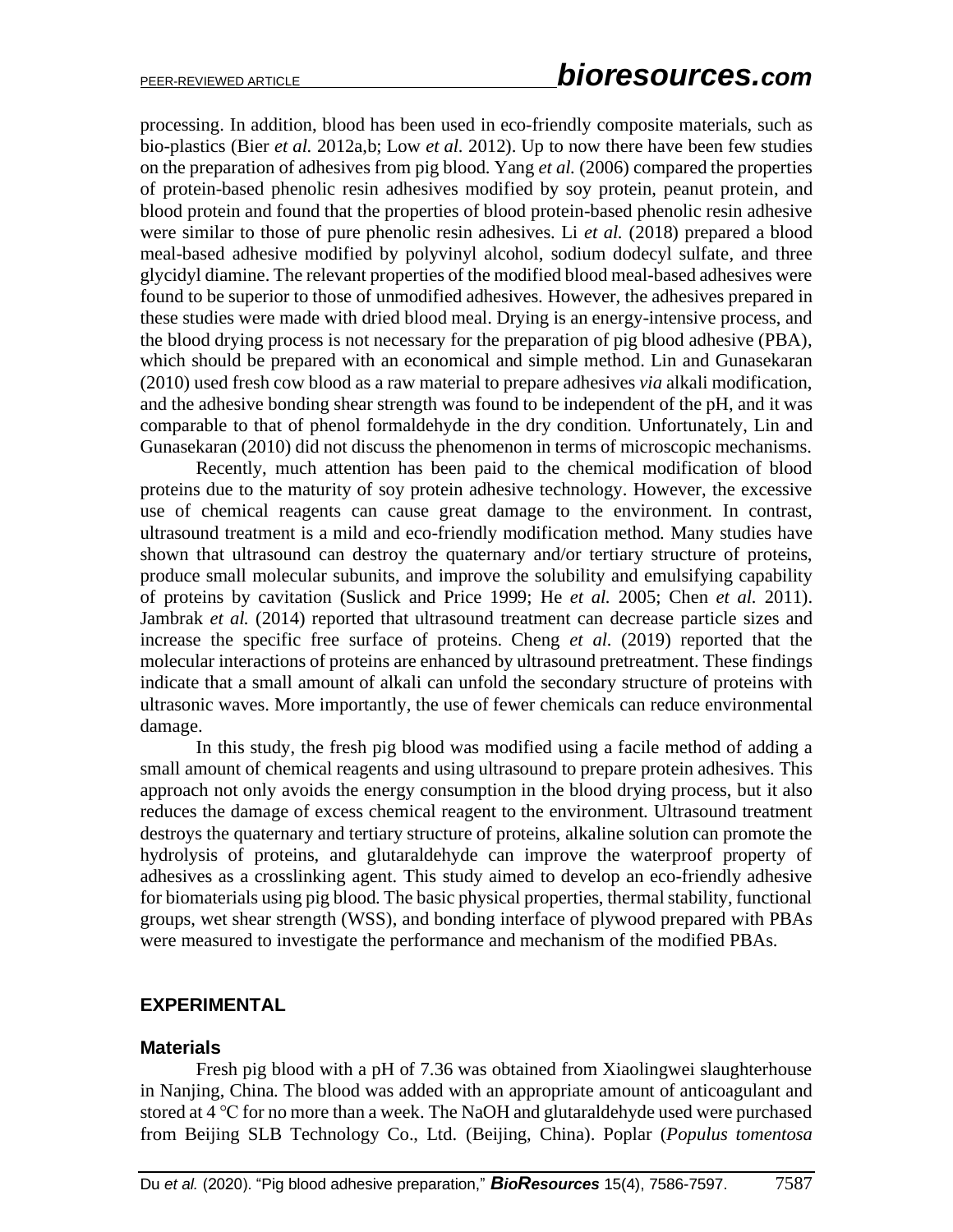processing. In addition, blood has been used in eco-friendly composite materials, such as bio-plastics (Bier *et al.* 2012a,b; Low *et al.* 2012). Up to now there have been few studies on the preparation of adhesives from pig blood. Yang *et al.* (2006) compared the properties of protein-based phenolic resin adhesives modified by soy protein, peanut protein, and blood protein and found that the properties of blood protein-based phenolic resin adhesive were similar to those of pure phenolic resin adhesives. Li *et al.* (2018) prepared a blood meal-based adhesive modified by polyvinyl alcohol, sodium dodecyl sulfate, and three glycidyl diamine. The relevant properties of the modified blood meal-based adhesives were found to be superior to those of unmodified adhesives. However, the adhesives prepared in these studies were made with dried blood meal. Drying is an energy-intensive process, and the blood drying process is not necessary for the preparation of pig blood adhesive (PBA), which should be prepared with an economical and simple method. Lin and Gunasekaran (2010) used fresh cow blood as a raw material to prepare adhesives *via* alkali modification, and the adhesive bonding shear strength was found to be independent of the pH, and it was comparable to that of phenol formaldehyde in the dry condition. Unfortunately, Lin and Gunasekaran (2010) did not discuss the phenomenon in terms of microscopic mechanisms.

Recently, much attention has been paid to the chemical modification of blood proteins due to the maturity of soy protein adhesive technology. However, the excessive use of chemical reagents can cause great damage to the environment. In contrast, ultrasound treatment is a mild and eco-friendly modification method. Many studies have shown that ultrasound can destroy the quaternary and/or tertiary structure of proteins, produce small molecular subunits, and improve the solubility and emulsifying capability of proteins by cavitation (Suslick and Price 1999; He *et al.* 2005; Chen *et al.* 2011). Jambrak *et al.* (2014) reported that ultrasound treatment can decrease particle sizes and increase the specific free surface of proteins. Cheng *et al.* (2019) reported that the molecular interactions of proteins are enhanced by ultrasound pretreatment. These findings indicate that a small amount of alkali can unfold the secondary structure of proteins with ultrasonic waves. More importantly, the use of fewer chemicals can reduce environmental damage.

In this study, the fresh pig blood was modified using a facile method of adding a small amount of chemical reagents and using ultrasound to prepare protein adhesives. This approach not only avoids the energy consumption in the blood drying process, but it also reduces the damage of excess chemical reagent to the environment. Ultrasound treatment destroys the quaternary and tertiary structure of proteins, alkaline solution can promote the hydrolysis of proteins, and glutaraldehyde can improve the waterproof property of adhesives as a crosslinking agent. This study aimed to develop an eco-friendly adhesive for biomaterials using pig blood. The basic physical properties, thermal stability, functional groups, wet shear strength (WSS), and bonding interface of plywood prepared with PBAs were measured to investigate the performance and mechanism of the modified PBAs.

## **EXPERIMENTAL**

#### **Materials**

Fresh pig blood with a pH of 7.36 was obtained from Xiaolingwei slaughterhouse in Nanjing, China. The blood was added with an appropriate amount of anticoagulant and stored at 4 ℃ for no more than a week. The NaOH and glutaraldehyde used were purchased from Beijing SLB Technology Co., Ltd. (Beijing, China). Poplar (*Populus tomentosa*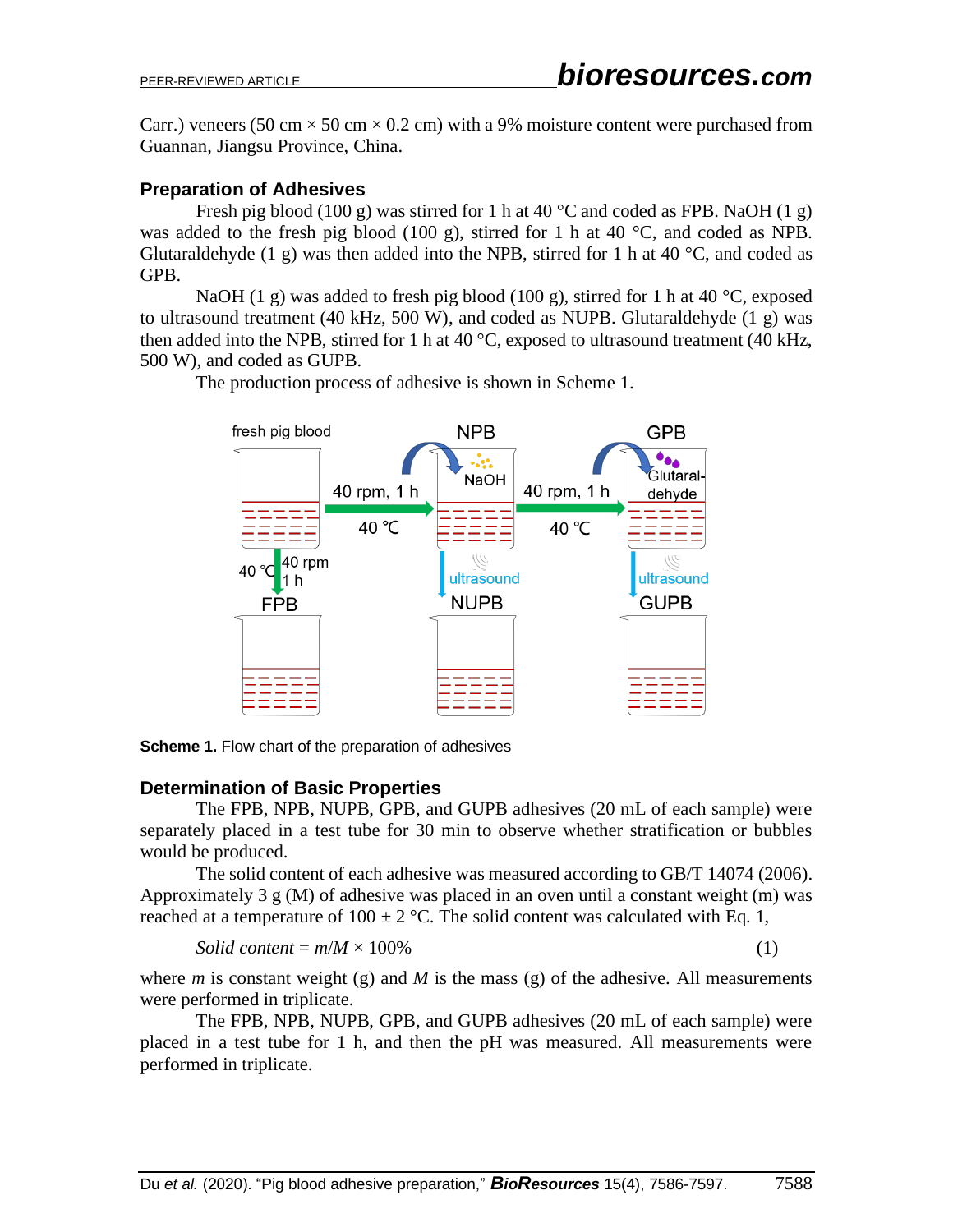Carr.) veneers (50 cm  $\times$  50 cm  $\times$  0.2 cm) with a 9% moisture content were purchased from Guannan, Jiangsu Province, China.

## **Preparation of Adhesives**

Fresh pig blood (100 g) was stirred for 1 h at 40 °C and coded as FPB. NaOH (1 g) was added to the fresh pig blood (100 g), stirred for 1 h at 40 °C, and coded as NPB. Glutaraldehyde (1 g) was then added into the NPB, stirred for 1 h at 40  $^{\circ}$ C, and coded as GPB.

NaOH (1 g) was added to fresh pig blood (100 g), stirred for 1 h at 40  $\degree$ C, exposed to ultrasound treatment (40 kHz, 500 W), and coded as NUPB. Glutaraldehyde (1 g) was then added into the NPB, stirred for 1 h at 40  $^{\circ}$ C, exposed to ultrasound treatment (40 kHz, 500 W), and coded as GUPB.

The production process of adhesive is shown in Scheme 1.



**Scheme 1.** Flow chart of the preparation of adhesives

# **Determination of Basic Properties**

The FPB, NPB, NUPB, GPB, and GUPB adhesives (20 mL of each sample) were separately placed in a test tube for 30 min to observe whether stratification or bubbles would be produced.

The solid content of each adhesive was measured according to GB/T 14074 (2006). Approximately 3  $g$  (M) of adhesive was placed in an oven until a constant weight (m) was reached at a temperature of  $100 \pm 2$  °C. The solid content was calculated with Eq. 1,

$$
Solid content = m/M \times 100\% \tag{1}
$$

where *m* is constant weight (g) and *M* is the mass (g) of the adhesive. All measurements were performed in triplicate.

The FPB, NPB, NUPB, GPB, and GUPB adhesives (20 mL of each sample) were placed in a test tube for 1 h, and then the pH was measured. All measurements were performed in triplicate.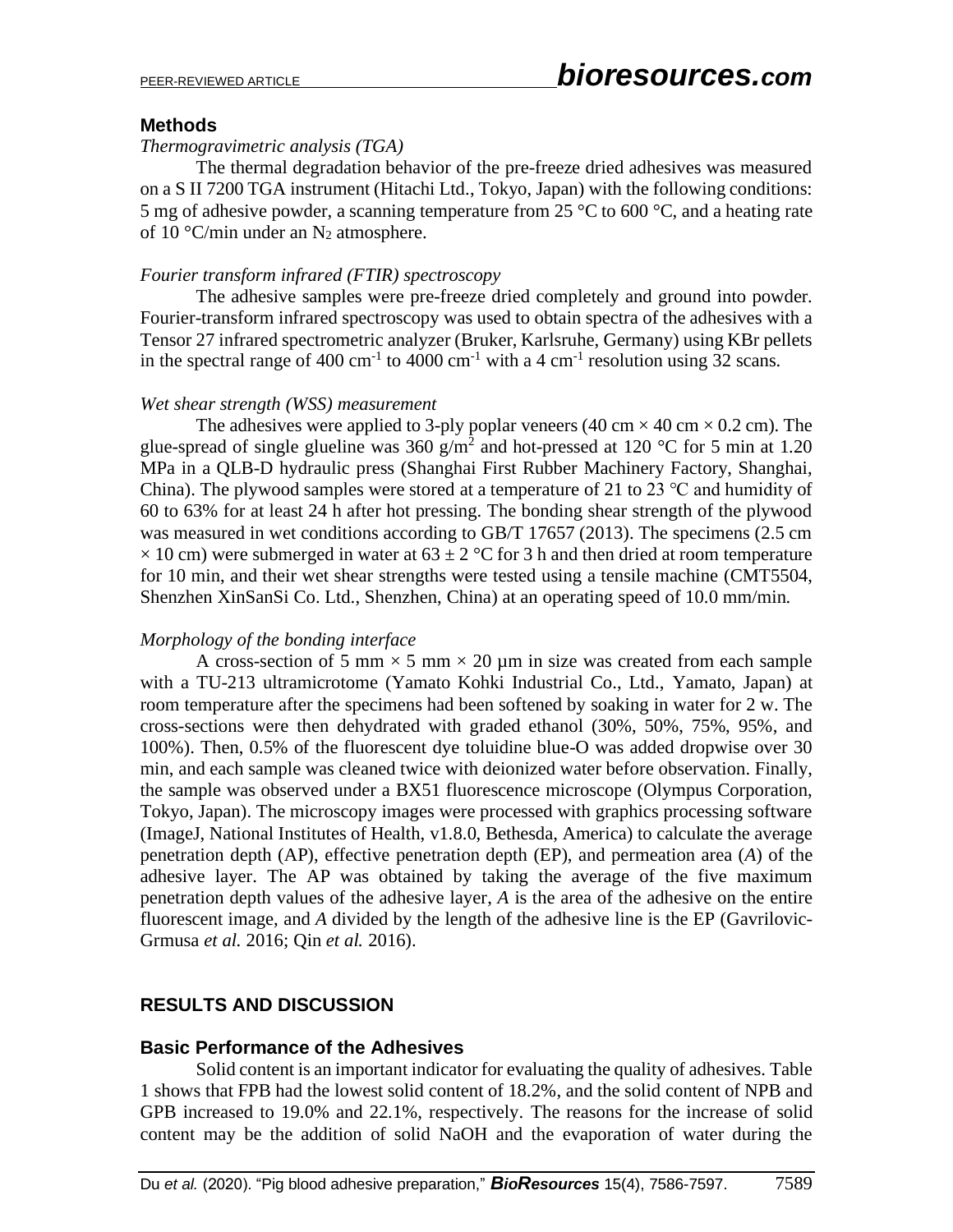## **Methods**

#### *Thermogravimetric analysis (TGA)*

The thermal degradation behavior of the pre-freeze dried adhesives was measured on a S II 7200 TGA instrument (Hitachi Ltd., Tokyo, Japan) with the following conditions: 5 mg of adhesive powder, a scanning temperature from 25  $\degree$ C to 600  $\degree$ C, and a heating rate of 10 °C/min under an  $N_2$  atmosphere.

## *Fourier transform infrared (FTIR) spectroscopy*

The adhesive samples were pre-freeze dried completely and ground into powder. Fourier-transform infrared spectroscopy was used to obtain spectra of the adhesives with a Tensor 27 infrared spectrometric analyzer (Bruker, Karlsruhe, Germany) using KBr pellets in the spectral range of 400 cm<sup>-1</sup> to 4000 cm<sup>-1</sup> with a 4 cm<sup>-1</sup> resolution using 32 scans.

#### *Wet shear strength (WSS) measurement*

The adhesives were applied to 3-ply poplar veneers (40 cm  $\times$  40 cm  $\times$  0.2 cm). The glue-spread of single glueline was 360 g/m<sup>2</sup> and hot-pressed at 120 °C for 5 min at 1.20 MPa in a QLB-D hydraulic press (Shanghai First Rubber Machinery Factory, Shanghai, China). The plywood samples were stored at a temperature of 21 to 23  $\degree$ C and humidity of 60 to 63% for at least 24 h after hot pressing. The bonding shear strength of the plywood was measured in wet conditions according to GB/T 17657 (2013). The specimens (2.5 cm  $\times$  10 cm) were submerged in water at 63  $\pm$  2 °C for 3 h and then dried at room temperature for 10 min, and their wet shear strengths were tested using a tensile machine (CMT5504, Shenzhen XinSanSi Co. Ltd., Shenzhen, China) at an operating speed of 10.0 mm/min.

#### *Morphology of the bonding interface*

A cross-section of 5 mm  $\times$  5 mm  $\times$  20 µm in size was created from each sample with a TU-213 ultramicrotome (Yamato Kohki Industrial Co., Ltd., Yamato, Japan) at room temperature after the specimens had been softened by soaking in water for 2 w. The cross-sections were then dehydrated with graded ethanol (30%, 50%, 75%, 95%, and 100%). Then, 0.5% of the fluorescent dye toluidine blue-O was added dropwise over 30 min, and each sample was cleaned twice with deionized water before observation. Finally, the sample was observed under a BX51 fluorescence microscope (Olympus Corporation, Tokyo, Japan). The microscopy images were processed with graphics processing software (ImageJ, National Institutes of Health, v1.8.0, Bethesda, America) to calculate the average penetration depth (AP), effective penetration depth (EP), and permeation area (*A*) of the adhesive layer. The AP was obtained by taking the average of the five maximum penetration depth values of the adhesive layer, *A* is the area of the adhesive on the entire fluorescent image, and *A* divided by the length of the adhesive line is the EP (Gavrilovic-Grmusa *et al.* 2016; Qin *et al.* 2016).

# **RESULTS AND DISCUSSION**

#### **Basic Performance of the Adhesives**

Solid content is an important indicator for evaluating the quality of adhesives. Table 1 shows that FPB had the lowest solid content of 18.2%, and the solid content of NPB and GPB increased to 19.0% and 22.1%, respectively. The reasons for the increase of solid content may be the addition of solid NaOH and the evaporation of water during the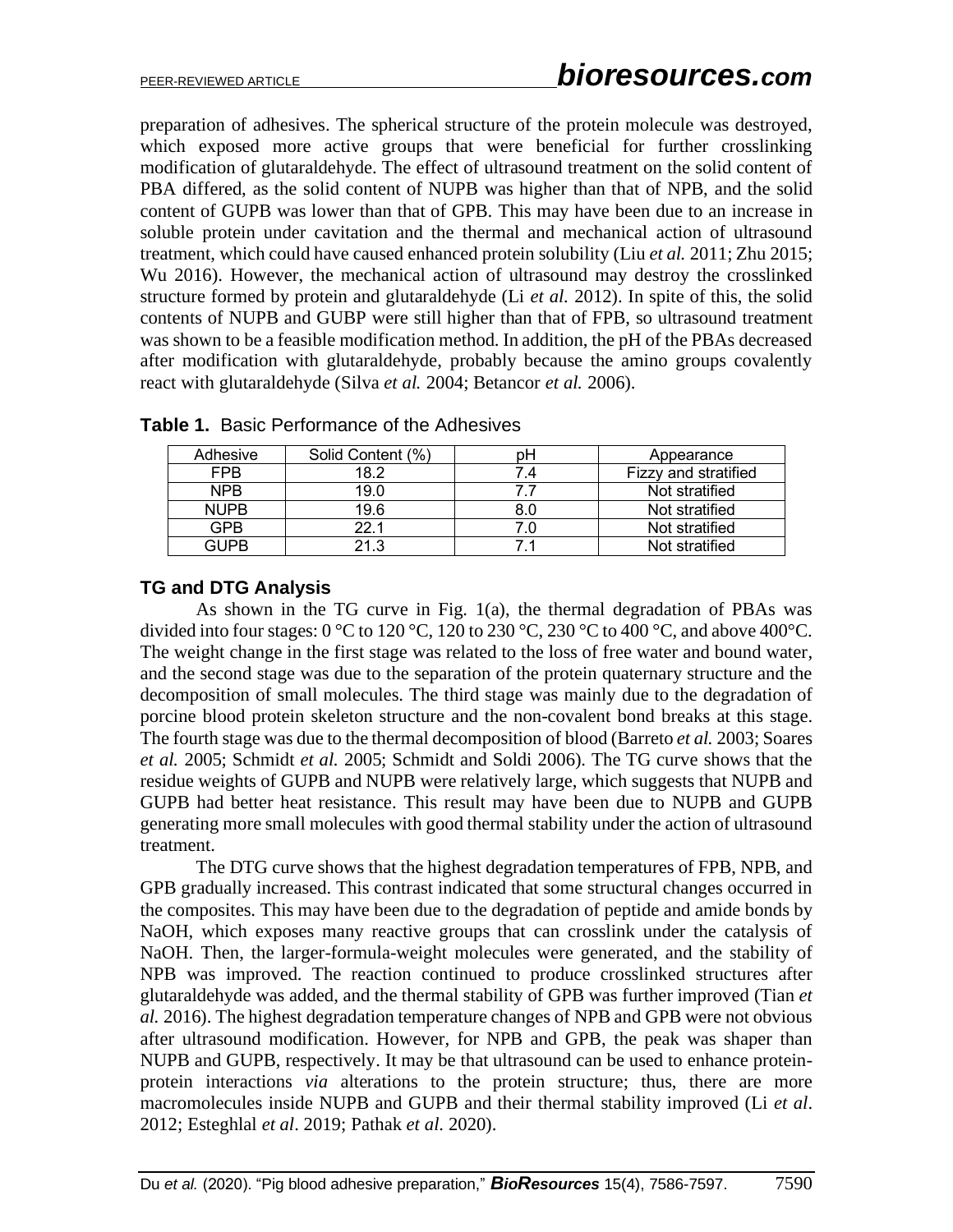preparation of adhesives. The spherical structure of the protein molecule was destroyed, which exposed more active groups that were beneficial for further crosslinking modification of glutaraldehyde. The effect of ultrasound treatment on the solid content of PBA differed, as the solid content of NUPB was higher than that of NPB, and the solid content of GUPB was lower than that of GPB. This may have been due to an increase in soluble protein under cavitation and the thermal and mechanical action of ultrasound treatment, which could have caused enhanced protein solubility (Liu *et al.* 2011; Zhu 2015; Wu 2016). However, the mechanical action of ultrasound may destroy the crosslinked structure formed by protein and glutaraldehyde (Li *et al.* 2012). In spite of this, the solid contents of NUPB and GUBP were still higher than that of FPB, so ultrasound treatment was shown to be a feasible modification method. In addition, the pH of the PBAs decreased after modification with glutaraldehyde, probably because the amino groups covalently react with glutaraldehyde (Silva *et al.* 2004; Betancor *et al.* 2006).

| Adhesive    | Solid Content (%) | ŋН | Appearance           |
|-------------|-------------------|----|----------------------|
| FPB         | 18.2              | .4 | Fizzy and stratified |
| <b>NPB</b>  | 19.0              |    | Not stratified       |
| <b>NUPB</b> | 19.6              |    | Not stratified       |
| <b>GPB</b>  | 22 1              | Ω  | Not stratified       |
| GUPB        | 21 3              |    | Not stratified       |

**Table 1.** Basic Performance of the Adhesives

## **TG and DTG Analysis**

As shown in the TG curve in Fig. 1(a), the thermal degradation of PBAs was divided into four stages:  $0^{\circ}$ C to  $120^{\circ}$ C,  $120$  to  $230^{\circ}$ C,  $230^{\circ}$ C to  $400^{\circ}$ C, and above  $400^{\circ}$ C. The weight change in the first stage was related to the loss of free water and bound water, and the second stage was due to the separation of the protein quaternary structure and the decomposition of small molecules. The third stage was mainly due to the degradation of porcine blood protein skeleton structure and the non-covalent bond breaks at this stage. The fourth stage was due to the thermal decomposition of blood (Barreto *et al.* 2003; Soares *et al.* 2005; Schmidt *et al.* 2005; Schmidt and Soldi 2006). The TG curve shows that the residue weights of GUPB and NUPB were relatively large, which suggests that NUPB and GUPB had better heat resistance. This result may have been due to NUPB and GUPB generating more small molecules with good thermal stability under the action of ultrasound treatment.

The DTG curve shows that the highest degradation temperatures of FPB, NPB, and GPB gradually increased. This contrast indicated that some structural changes occurred in the composites. This may have been due to the degradation of peptide and amide bonds by NaOH, which exposes many reactive groups that can crosslink under the catalysis of NaOH. Then, the larger-formula-weight molecules were generated, and the stability of NPB was improved. The reaction continued to produce crosslinked structures after glutaraldehyde was added, and the thermal stability of GPB was further improved (Tian *et al.* 2016). The highest degradation temperature changes of NPB and GPB were not obvious after ultrasound modification. However, for NPB and GPB, the peak was shaper than NUPB and GUPB, respectively. It may be that ultrasound can be used to enhance proteinprotein interactions *via* alterations to the protein structure; thus, there are more macromolecules inside NUPB and GUPB and their thermal stability improved (Li *et al*. 2012; Esteghlal *et al*. 2019; Pathak *et al*. 2020).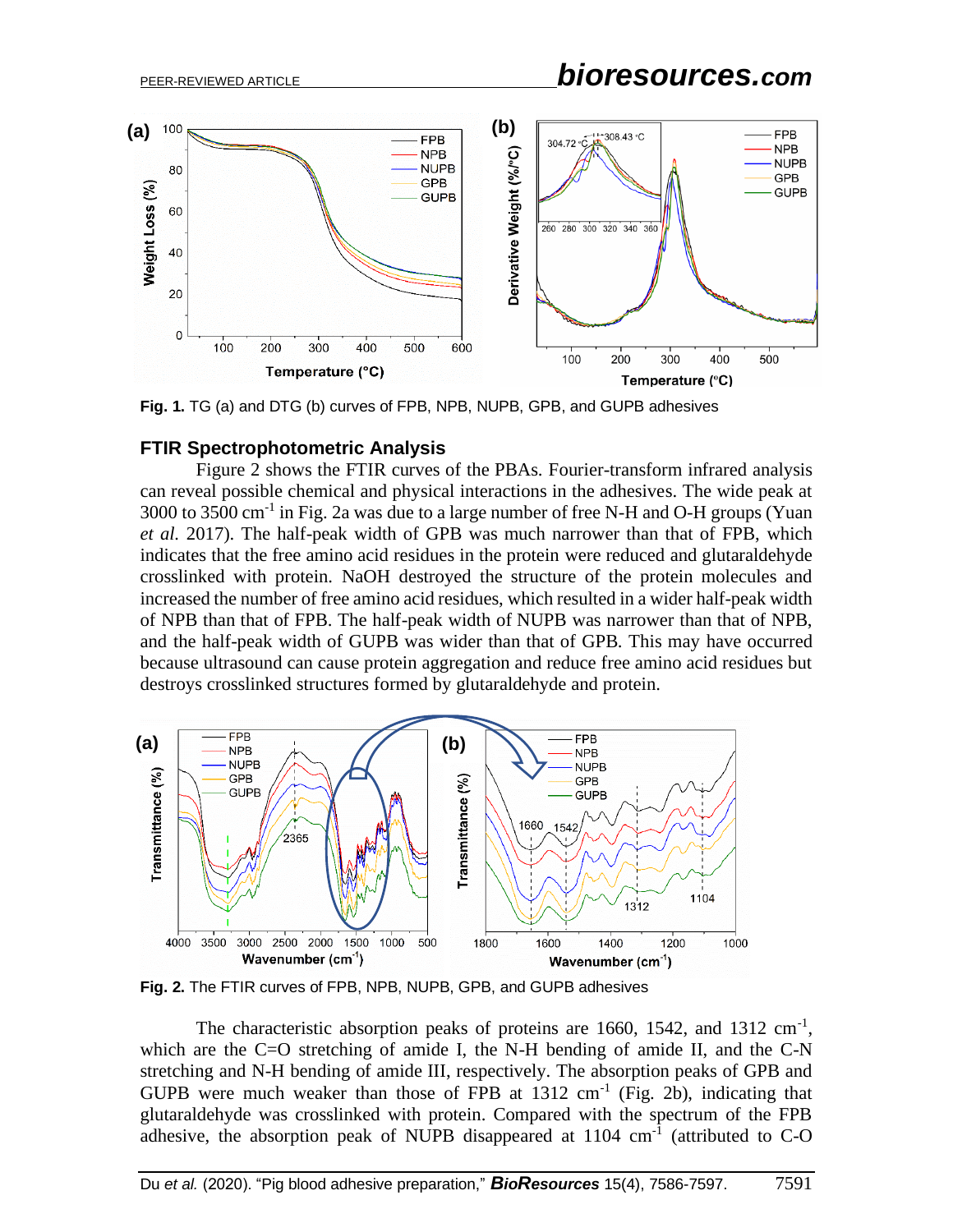

**Fig. 1.** TG (a) and DTG (b) curves of FPB, NPB, NUPB, GPB, and GUPB adhesives

#### **FTIR Spectrophotometric Analysis**

Figure 2 shows the FTIR curves of the PBAs. Fourier-transform infrared analysis can reveal possible chemical and physical interactions in the adhesives. The wide peak at 3000 to 3500 cm<sup>-1</sup> in Fig. 2a was due to a large number of free N-H and O-H groups (Yuan *et al.* 2017). The half-peak width of GPB was much narrower than that of FPB, which indicates that the free amino acid residues in the protein were reduced and glutaraldehyde crosslinked with protein. NaOH destroyed the structure of the protein molecules and increased the number of free amino acid residues, which resulted in a wider half-peak width of NPB than that of FPB. The half-peak width of NUPB was narrower than that of NPB, and the half-peak width of GUPB was wider than that of GPB. This may have occurred because ultrasound can cause protein aggregation and reduce free amino acid residues but destroys crosslinked structures formed by glutaraldehyde and protein.



**Fig. 2.** The FTIR curves of FPB, NPB, NUPB, GPB, and GUPB adhesives

The characteristic absorption peaks of proteins are 1660, 1542, and 1312  $cm^{-1}$ , which are the C=O stretching of amide I, the N-H bending of amide II, and the C-N stretching and N-H bending of amide III, respectively. The absorption peaks of GPB and GUPB were much weaker than those of FPB at  $1312 \text{ cm}^{-1}$  (Fig. 2b), indicating that glutaraldehyde was crosslinked with protein. Compared with the spectrum of the FPB adhesive, the absorption peak of NUPB disappeared at  $1104 \text{ cm}^{-1}$  (attributed to C-O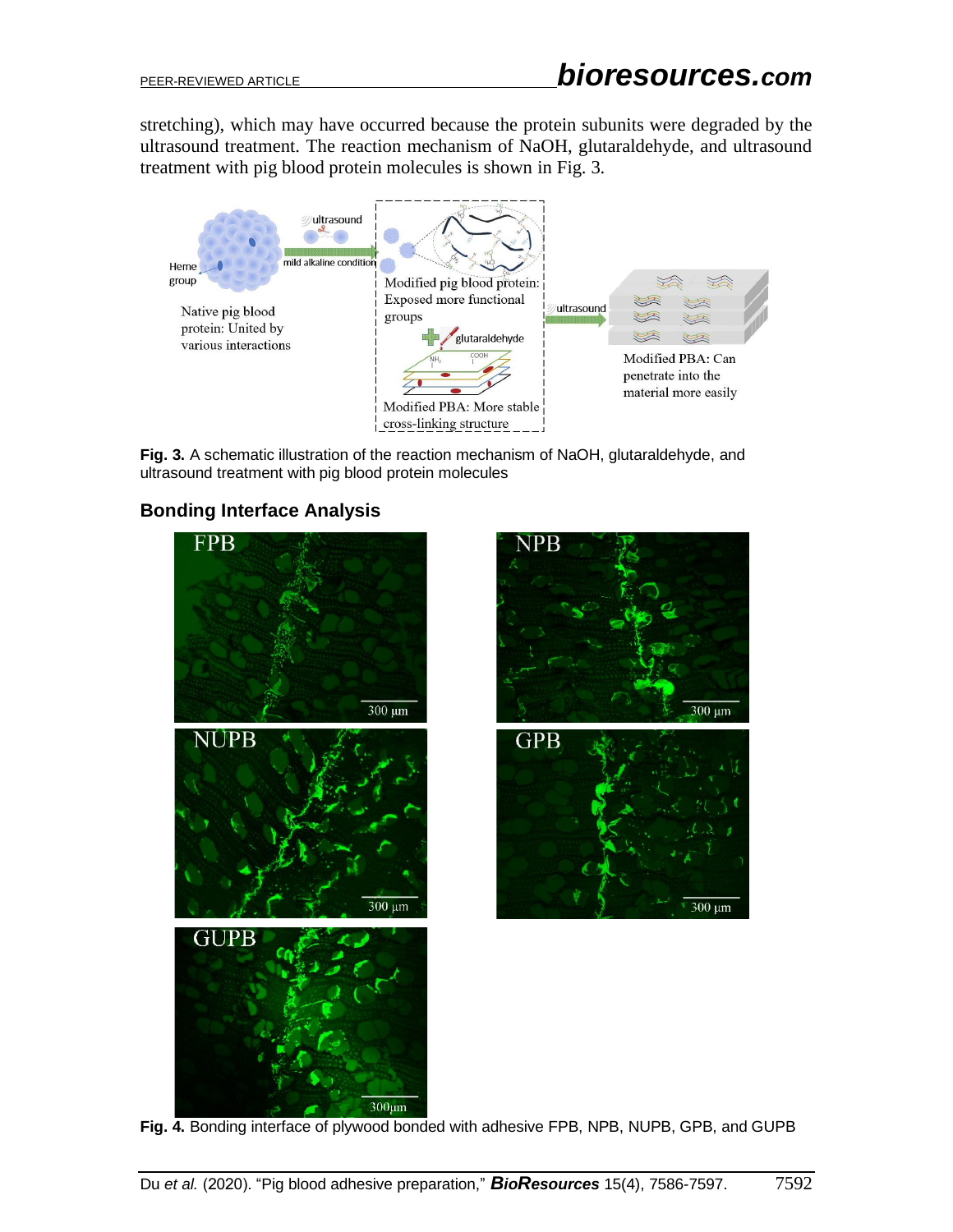stretching), which may have occurred because the protein subunits were degraded by the ultrasound treatment. The reaction mechanism of NaOH, glutaraldehyde, and ultrasound treatment with pig blood protein molecules is shown in Fig. 3.



**Fig. 3.** A schematic illustration of the reaction mechanism of NaOH, glutaraldehyde, and ultrasound treatment with pig blood protein molecules

# **Bonding Interface Analysis**



**Fig. 4.** Bonding interface of plywood bonded with adhesive FPB, NPB, NUPB, GPB, and GUPB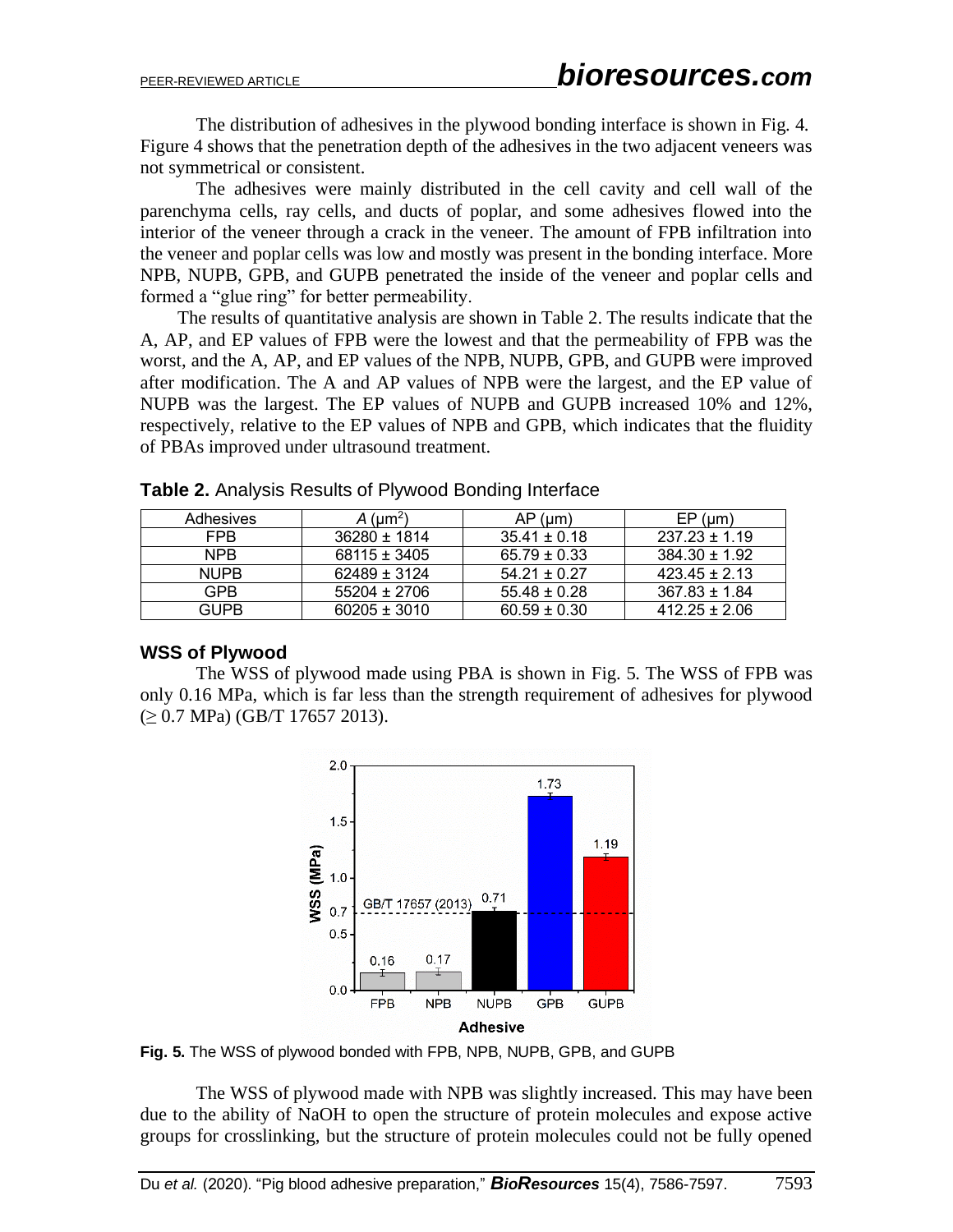The distribution of adhesives in the plywood bonding interface is shown in Fig. 4. Figure 4 shows that the penetration depth of the adhesives in the two adjacent veneers was not symmetrical or consistent.

The adhesives were mainly distributed in the cell cavity and cell wall of the parenchyma cells, ray cells, and ducts of poplar, and some adhesives flowed into the interior of the veneer through a crack in the veneer. The amount of FPB infiltration into the veneer and poplar cells was low and mostly was present in the bonding interface. More NPB, NUPB, GPB, and GUPB penetrated the inside of the veneer and poplar cells and formed a "glue ring" for better permeability.

The results of quantitative analysis are shown in Table 2. The results indicate that the A, AP, and EP values of FPB were the lowest and that the permeability of FPB was the worst, and the A, AP, and EP values of the NPB, NUPB, GPB, and GUPB were improved after modification. The A and AP values of NPB were the largest, and the EP value of NUPB was the largest. The EP values of NUPB and GUPB increased 10% and 12%, respectively, relative to the EP values of NPB and GPB, which indicates that the fluidity of PBAs improved under ultrasound treatment.

| Adhesives   | $A \, (\mu m^2)$ | $AP$ ( $µm$ )    | $EP$ (µm)         |
|-------------|------------------|------------------|-------------------|
| FPB         | 36280 ± 1814     | $35.41 \pm 0.18$ | $237.23 \pm 1.19$ |
| <b>NPB</b>  | $68115 \pm 3405$ | $65.79 \pm 0.33$ | $384.30 \pm 1.92$ |
| <b>NUPB</b> | $62489 \pm 3124$ | $54.21 \pm 0.27$ | $423.45 \pm 2.13$ |
| <b>GPB</b>  | 55204 ± 2706     | $55.48 \pm 0.28$ | $367.83 \pm 1.84$ |
| GUPB        | $60205 \pm 3010$ | $60.59 \pm 0.30$ | $412.25 \pm 2.06$ |

**Table 2.** Analysis Results of Plywood Bonding Interface

## **WSS of Plywood**

The WSS of plywood made using PBA is shown in Fig. 5. The WSS of FPB was only 0.16 MPa, which is far less than the strength requirement of adhesives for plywood (≥ 0.7 MPa) (GB/T 17657 2013).



**Fig. 5.** The WSS of plywood bonded with FPB, NPB, NUPB, GPB, and GUPB

The WSS of plywood made with NPB was slightly increased. This may have been due to the ability of NaOH to open the structure of protein molecules and expose active groups for crosslinking, but the structure of protein molecules could not be fully opened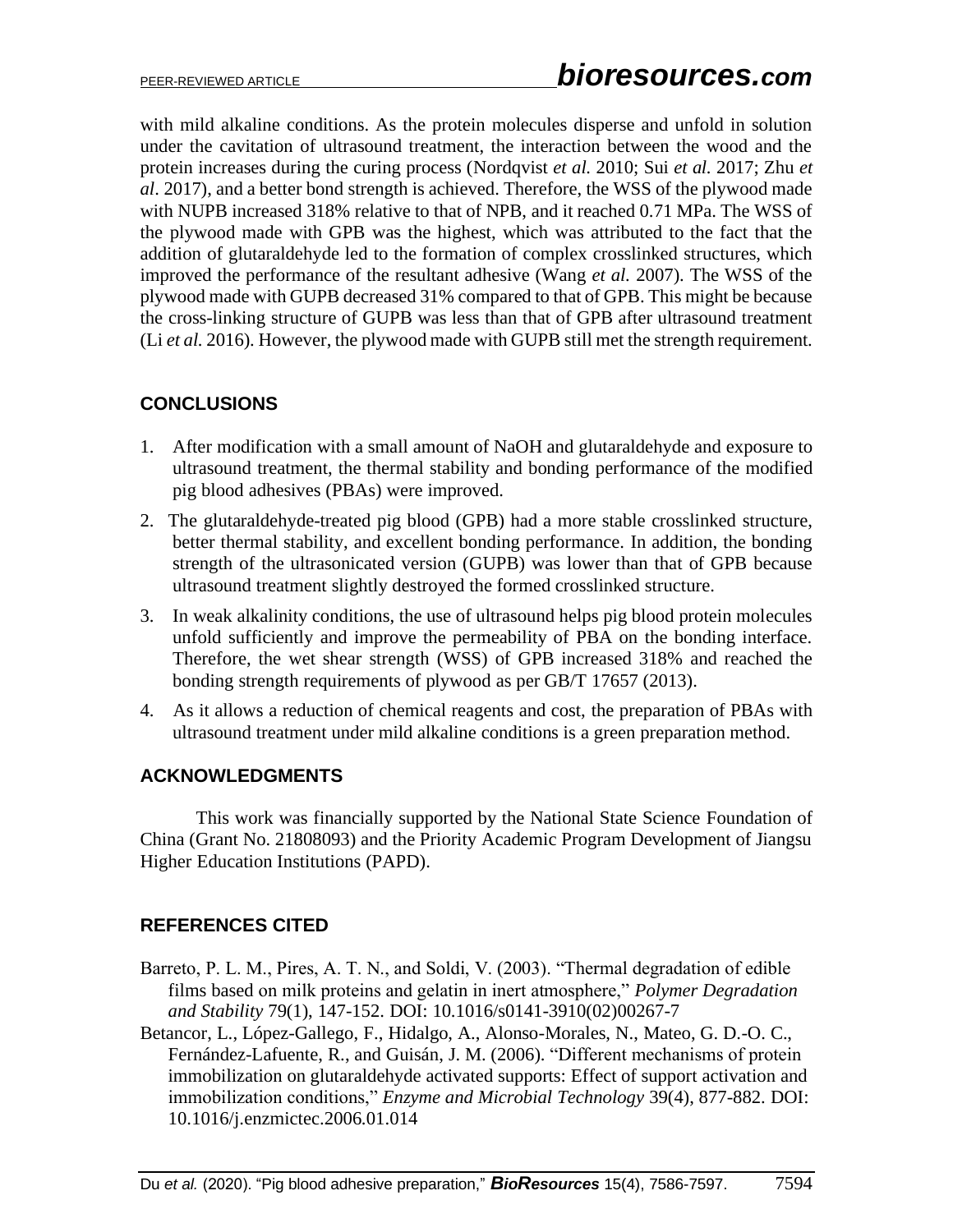with mild alkaline conditions. As the protein molecules disperse and unfold in solution under the cavitation of ultrasound treatment, the interaction between the wood and the protein increases during the curing process (Nordqvist *et al.* 2010; Sui *et al.* 2017; Zhu *et al*. 2017), and a better bond strength is achieved. Therefore, the WSS of the plywood made with NUPB increased 318% relative to that of NPB, and it reached 0.71 MPa. The WSS of the plywood made with GPB was the highest, which was attributed to the fact that the addition of glutaraldehyde led to the formation of complex crosslinked structures, which improved the performance of the resultant adhesive (Wang *et al.* 2007). The WSS of the plywood made with GUPB decreased 31% compared to that of GPB. This might be because the cross-linking structure of GUPB was less than that of GPB after ultrasound treatment (Li *et al.* 2016). However, the plywood made with GUPB still met the strength requirement.

# **CONCLUSIONS**

- 1. After modification with a small amount of NaOH and glutaraldehyde and exposure to ultrasound treatment, the thermal stability and bonding performance of the modified pig blood adhesives (PBAs) were improved.
- 2. The glutaraldehyde-treated pig blood (GPB) had a more stable crosslinked structure, better thermal stability, and excellent bonding performance. In addition, the bonding strength of the ultrasonicated version (GUPB) was lower than that of GPB because ultrasound treatment slightly destroyed the formed crosslinked structure.
- 3. In weak alkalinity conditions, the use of ultrasound helps pig blood protein molecules unfold sufficiently and improve the permeability of PBA on the bonding interface. Therefore, the wet shear strength (WSS) of GPB increased 318% and reached the bonding strength requirements of plywood as per GB/T 17657 (2013).
- 4. As it allows a reduction of chemical reagents and cost, the preparation of PBAs with ultrasound treatment under mild alkaline conditions is a green preparation method.

## **ACKNOWLEDGMENTS**

This work was financially supported by the National State Science Foundation of China (Grant No. 21808093) and the Priority Academic Program Development of Jiangsu Higher Education Institutions (PAPD).

# **REFERENCES CITED**

- Barreto, P. L. M., Pires, A. T. N., and Soldi, V. (2003). "Thermal degradation of edible films based on milk proteins and gelatin in inert atmosphere," *Polymer Degradation and Stability* 79(1), 147-152. DOI: 10.1016/s0141-3910(02)00267-7
- Betancor, L., López-Gallego, F., Hidalgo, A., Alonso-Morales, N., Mateo, G. D.-O. C., Fernández-Lafuente, R., and Guisán, J. M. (2006). "Different mechanisms of protein immobilization on glutaraldehyde activated supports: Effect of support activation and immobilization conditions," *Enzyme and Microbial Technology* 39(4), 877-882. DOI: 10.1016/j.enzmictec.2006.01.014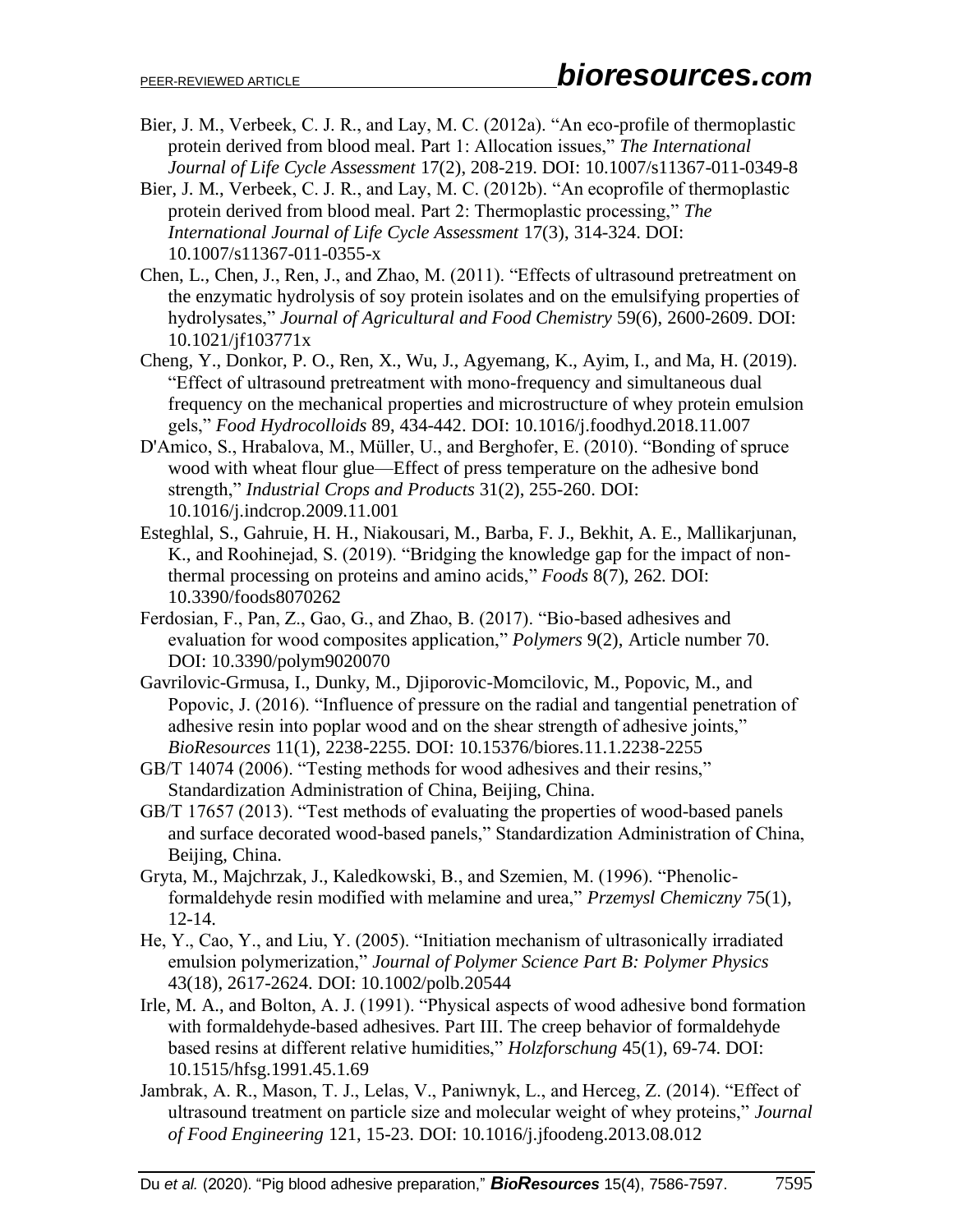- Bier, J. M., Verbeek, C. J. R., and Lay, M. C. (2012a). "An eco-profile of thermoplastic protein derived from blood meal. Part 1: Allocation issues," *The International Journal of Life Cycle Assessment* 17(2), 208-219. DOI: 10.1007/s11367-011-0349-8
- Bier, J. M., Verbeek, C. J. R., and Lay, M. C. (2012b). "An ecoprofile of thermoplastic protein derived from blood meal. Part 2: Thermoplastic processing," *The International Journal of Life Cycle Assessment* 17(3), 314-324. DOI: 10.1007/s11367-011-0355-x
- Chen, L., Chen, J., Ren, J., and Zhao, M. (2011). "Effects of ultrasound pretreatment on the enzymatic hydrolysis of soy protein isolates and on the emulsifying properties of hydrolysates," *Journal of Agricultural and Food Chemistry* 59(6), 2600-2609. DOI: 10.1021/jf103771x
- Cheng, Y., Donkor, P. O., Ren, X., Wu, J., Agyemang, K., Ayim, I., and Ma, H. (2019). "Effect of ultrasound pretreatment with mono-frequency and simultaneous dual frequency on the mechanical properties and microstructure of whey protein emulsion gels," *Food Hydrocolloids* 89, 434-442. DOI: 10.1016/j.foodhyd.2018.11.007
- D'Amico, S., Hrabalova, M., Müller, U., and Berghofer, E. (2010). "Bonding of spruce wood with wheat flour glue—Effect of press temperature on the adhesive bond strength," *Industrial Crops and Products* 31(2), 255-260. DOI: 10.1016/j.indcrop.2009.11.001
- Esteghlal, S., Gahruie, H. H., Niakousari, M., Barba, F. J., Bekhit, A. E., Mallikarjunan, K., and Roohinejad, S. (2019). "Bridging the knowledge gap for the impact of nonthermal processing on proteins and amino acids," *Foods* 8(7), 262. DOI: 10.3390/foods8070262
- Ferdosian, F., Pan, Z., Gao, G., and Zhao, B. (2017). "Bio-based adhesives and evaluation for wood composites application," *Polymers* 9(2), Article number 70. DOI: 10.3390/polym9020070
- Gavrilovic-Grmusa, I., Dunky, M., Djiporovic-Momcilovic, M., Popovic, M., and Popovic, J. (2016). "Influence of pressure on the radial and tangential penetration of adhesive resin into poplar wood and on the shear strength of adhesive joints," *BioResources* 11(1), 2238-2255. DOI: 10.15376/biores.11.1.2238-2255
- GB/T 14074 (2006). "Testing methods for wood adhesives and their resins," Standardization Administration of China, Beijing, China.
- GB/T 17657 (2013). "Test methods of evaluating the properties of wood-based panels and surface decorated wood-based panels," Standardization Administration of China, Beijing, China.
- Gryta, M., Majchrzak, J., Kaledkowski, B., and Szemien, M. (1996). "Phenolicformaldehyde resin modified with melamine and urea," *Przemysl Chemiczny* 75(1), 12-14.
- He, Y., Cao, Y., and Liu, Y. (2005). "Initiation mechanism of ultrasonically irradiated emulsion polymerization," *Journal of Polymer Science Part B: Polymer Physics* 43(18), 2617-2624. DOI: 10.1002/polb.20544
- Irle, M. A., and Bolton, A. J. (1991). "Physical aspects of wood adhesive bond formation with formaldehyde-based adhesives. Part III. The creep behavior of formaldehyde based resins at different relative humidities," *Holzforschung* 45(1), 69-74. DOI: 10.1515/hfsg.1991.45.1.69
- Jambrak, A. R., Mason, T. J., Lelas, V., Paniwnyk, L., and Herceg, Z. (2014). "Effect of ultrasound treatment on particle size and molecular weight of whey proteins," *Journal of Food Engineering* 121, 15-23. DOI: 10.1016/j.jfoodeng.2013.08.012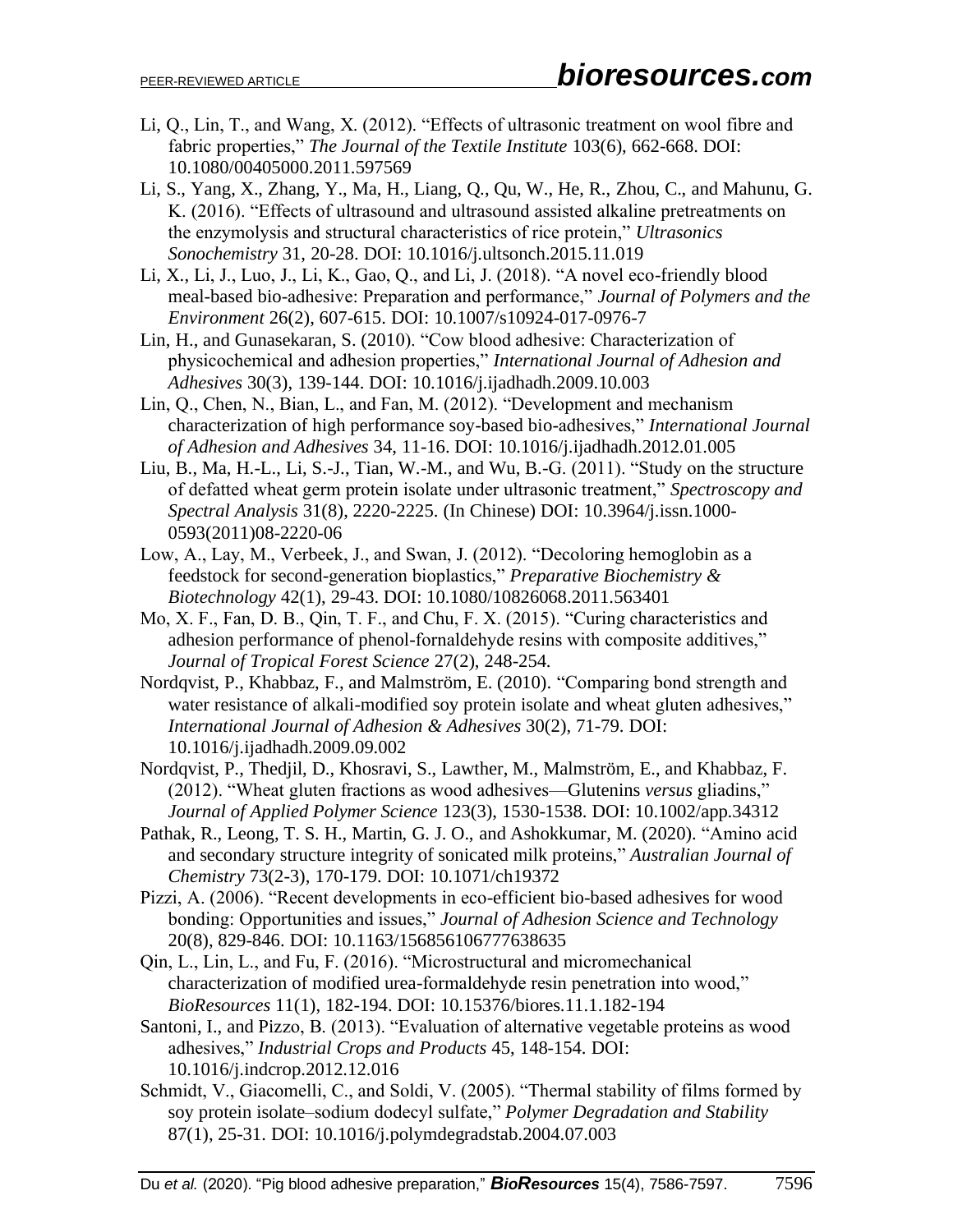- Li, Q., Lin, T., and Wang, X. (2012). "Effects of ultrasonic treatment on wool fibre and fabric properties," *The Journal of the Textile Institute* 103(6), 662-668. DOI: 10.1080/00405000.2011.597569
- Li, S., Yang, X., Zhang, Y., Ma, H., Liang, Q., Qu, W., He, R., Zhou, C., and Mahunu, G. K. (2016). "Effects of ultrasound and ultrasound assisted alkaline pretreatments on the enzymolysis and structural characteristics of rice protein," *Ultrasonics Sonochemistry* 31, 20-28. DOI: 10.1016/j.ultsonch.2015.11.019
- Li, X., Li, J., Luo, J., Li, K., Gao, Q., and Li, J. (2018). "A novel eco-friendly blood meal-based bio-adhesive: Preparation and performance," *Journal of Polymers and the Environment* 26(2), 607-615. DOI: 10.1007/s10924-017-0976-7
- Lin, H., and Gunasekaran, S. (2010). "Cow blood adhesive: Characterization of physicochemical and adhesion properties," *International Journal of Adhesion and Adhesives* 30(3), 139-144. DOI: 10.1016/j.ijadhadh.2009.10.003
- Lin, Q., Chen, N., Bian, L., and Fan, M. (2012). "Development and mechanism characterization of high performance soy-based bio-adhesives," *International Journal of Adhesion and Adhesives* 34, 11-16. DOI: 10.1016/j.ijadhadh.2012.01.005
- Liu, B., Ma, H.-L., Li, S.-J., Tian, W.-M., and Wu, B.-G. (2011). "Study on the structure of defatted wheat germ protein isolate under ultrasonic treatment," *Spectroscopy and Spectral Analysis* 31(8), 2220-2225. (In Chinese) DOI: 10.3964/j.issn.1000- 0593(2011)08-2220-06
- Low, A., Lay, M., Verbeek, J., and Swan, J. (2012). "Decoloring hemoglobin as a feedstock for second-generation bioplastics," *Preparative Biochemistry & Biotechnology* 42(1), 29-43. DOI: 10.1080/10826068.2011.563401
- Mo, X. F., Fan, D. B., Qin, T. F., and Chu, F. X. (2015). "Curing characteristics and adhesion performance of phenol-fornaldehyde resins with composite additives," *Journal of Tropical Forest Science* 27(2), 248-254.
- Nordqvist, P., Khabbaz, F., and Malmström, E. (2010). "Comparing bond strength and water resistance of alkali-modified soy protein isolate and wheat gluten adhesives," *International Journal of Adhesion & Adhesives* 30(2), 71-79. DOI: 10.1016/j.ijadhadh.2009.09.002
- Nordqvist, P., Thedjil, D., Khosravi, S., Lawther, M., Malmström, E., and Khabbaz, F. (2012). "Wheat gluten fractions as wood adhesives—Glutenins *versus* gliadins," *Journal of Applied Polymer Science* 123(3), 1530-1538. DOI: 10.1002/app.34312
- Pathak, R., Leong, T. S. H., Martin, G. J. O., and Ashokkumar, M. (2020). "Amino acid and secondary structure integrity of sonicated milk proteins," *Australian Journal of Chemistry* 73(2-3), 170-179. DOI: 10.1071/ch19372
- Pizzi, A. (2006). "Recent developments in eco-efficient bio-based adhesives for wood bonding: Opportunities and issues," *Journal of Adhesion Science and Technology* 20(8), 829-846. DOI: 10.1163/156856106777638635
- Qin, L., Lin, L., and Fu, F. (2016). "Microstructural and micromechanical characterization of modified urea-formaldehyde resin penetration into wood," *BioResources* 11(1), 182-194. DOI: 10.15376/biores.11.1.182-194
- Santoni, I., and Pizzo, B. (2013). "Evaluation of alternative vegetable proteins as wood adhesives," *Industrial Crops and Products* 45, 148-154. DOI: 10.1016/j.indcrop.2012.12.016
- Schmidt, V., Giacomelli, C., and Soldi, V. (2005). "Thermal stability of films formed by soy protein isolate–sodium dodecyl sulfate," *Polymer Degradation and Stability* 87(1), 25-31. DOI: 10.1016/j.polymdegradstab.2004.07.003